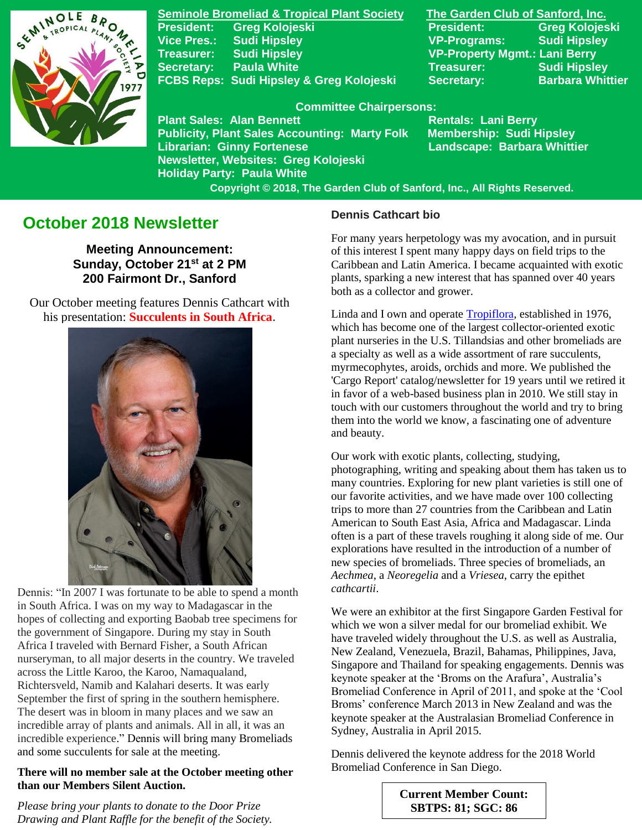

**Seminole Bromeliad & Tropical Plant Society The Garden Club of Sanford, Inc. President: Greg Kolojeski President: Greg Kolojeski Vice Pres.: Sudi Hipsley VP-Programs: Sudi Hipsley Treasurer: Sudi Hipsley VP-Property Mgmt.: Lani Berry Secretary:** Paula White **Network Constructs Constructs Constructs** Sudi Hipsley FCBS Reps: Sudi Hipsley & Greg Kolojeski Secretary: Barbara Whittier

#### **Committee Chairpersons:**

**Plant Sales: Alan Bennett** Rentals: Lani Berry **Publicity, Plant Sales Accounting: Marty Folk Membership: Sudi Hipsley** Librarian: Ginny Fortenese **Landscape: Barbara Whittier Newsletter, Websites: Greg Kolojeski Holiday Party: Paula White** 

 **Copyright © 2018, The Garden Club of Sanford, Inc., All Rights Reserved.**

# **October 2018 Newsletter**

**Meeting Announcement: Sunday, October 21st at 2 PM 200 Fairmont Dr., Sanford**

 Our October meeting features Dennis Cathcart with his presentation: **Succulents in South Africa**.



Dennis: "In 2007 I was fortunate to be able to spend a month in South Africa. I was on my way to Madagascar in the hopes of collecting and exporting Baobab tree specimens for the government of Singapore. During my stay in South Africa I traveled with Bernard Fisher, a South African nurseryman, to all major deserts in the country. We traveled across the Little Karoo, the Karoo, Namaqualand, Richtersveld, Namib and Kalahari deserts. It was early September the first of spring in the southern hemisphere. The desert was in bloom in many places and we saw an incredible array of plants and animals. All in all, it was an incredible experience." Dennis will bring many Bromeliads and some succulents for sale at the meeting.

### **There will no member sale at the October meeting other than our Members Silent Auction.**

*Please bring your plants to donate to the Door Prize Drawing and Plant Raffle for the benefit of the Society.* 

### **Dennis Cathcart bio**

For many years herpetology was my avocation, and in pursuit of this interest I spent many happy days on field trips to the Caribbean and Latin America. I became acquainted with exotic plants, sparking a new interest that has spanned over 40 years both as a collector and grower.

Linda and I own and operat[e Tropiflora,](http://tropiflora.com/) established in 1976, which has become one of the largest collector-oriented exotic plant nurseries in the U.S. Tillandsias and other bromeliads are a specialty as well as a wide assortment of rare succulents, myrmecophytes, aroids, orchids and more. We published the 'Cargo Report' catalog/newsletter for 19 years until we retired it in favor of a web-based business plan in 2010. We still stay in touch with our customers throughout the world and try to bring them into the world we know, a fascinating one of adventure and beauty.

Our work with exotic plants, collecting, studying, photographing, writing and speaking about them has taken us to many countries. Exploring for new plant varieties is still one of our favorite activities, and we have made over 100 collecting trips to more than 27 countries from the Caribbean and Latin American to South East Asia, Africa and Madagascar. Linda often is a part of these travels roughing it along side of me. Our explorations have resulted in the introduction of a number of new species of bromeliads. Three species of bromeliads, an *Aechmea*, a *Neoregelia* and a *Vriesea*, carry the epithet *cathcartii*.

We were an exhibitor at the first Singapore Garden Festival for which we won a silver medal for our bromeliad exhibit. We have traveled widely throughout the U.S. as well as Australia, New Zealand, Venezuela, Brazil, Bahamas, Philippines, Java, Singapore and Thailand for speaking engagements. Dennis was keynote speaker at the 'Broms on the Arafura', Australia's Bromeliad Conference in April of 2011, and spoke at the 'Cool Broms' conference March 2013 in New Zealand and was the keynote speaker at the Australasian Bromeliad Conference in Sydney, Australia in April 2015.

Dennis delivered the keynote address for the 2018 World Bromeliad Conference in San Diego.

> **Current Member Count: SBTPS: 81; SGC: 86**